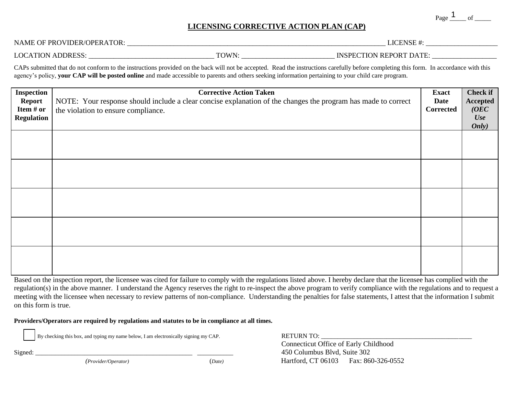Page  $\frac{1}{\sqrt{1-\rho}}$  of  $\frac{1}{\sqrt{1-\rho}}$ 

## **LICENSING CORRECTIVE ACTION PLAN (CAP)**

NAME OF PROVIDER/OPERATOR: \_\_\_\_\_\_\_\_\_\_\_\_\_\_\_\_\_\_\_\_\_\_\_\_\_\_\_\_\_\_\_\_\_\_\_\_\_\_\_\_\_\_\_\_\_\_\_\_\_\_\_\_\_\_\_\_\_\_\_\_\_\_\_\_\_\_\_\_\_\_\_\_ LICENSE #: \_\_\_\_\_\_\_\_\_\_\_\_\_\_\_\_\_\_\_\_

LOCATION ADDRESS: \_\_\_\_\_\_\_\_\_\_\_\_\_\_\_\_\_\_\_\_\_\_\_\_\_\_\_\_\_\_\_\_\_\_\_ TOWN: \_\_\_\_\_\_\_\_\_\_\_\_\_\_\_\_\_\_\_\_\_\_\_\_\_\_ INSPECTION REPORT DATE: \_\_\_\_\_\_\_\_\_\_\_\_\_\_\_\_\_\_

CAPs submitted that do not conform to the instructions provided on the back will not be accepted. Read the instructions carefully before completing this form. In accordance with this agency's policy, **your CAP will be posted online** and made accessible to parents and others seeking information pertaining to your child care program.

| <b>Inspection</b><br><b>Report</b><br>Item # or<br><b>Regulation</b> | <b>Corrective Action Taken</b><br>NOTE: Your response should include a clear concise explanation of the changes the program has made to correct<br>the violation to ensure compliance. | <b>Exact</b><br>Date<br>Corrected | <b>Check if</b><br>Accepted<br>(OEC)<br><b>Use</b><br>Only) |
|----------------------------------------------------------------------|----------------------------------------------------------------------------------------------------------------------------------------------------------------------------------------|-----------------------------------|-------------------------------------------------------------|
|                                                                      |                                                                                                                                                                                        |                                   |                                                             |
|                                                                      |                                                                                                                                                                                        |                                   |                                                             |
|                                                                      |                                                                                                                                                                                        |                                   |                                                             |
|                                                                      |                                                                                                                                                                                        |                                   |                                                             |
|                                                                      |                                                                                                                                                                                        |                                   |                                                             |

Based on the inspection report, the licensee was cited for failure to comply with the regulations listed above. I hereby declare that the licensee has complied with the regulation(s) in the above manner. I understand the Agency reserves the right to re-inspect the above program to verify compliance with the regulations and to request a meeting with the licensee when necessary to review patterns of non-compliance. Understanding the penalties for false statements, I attest that the information I submit on this form is true.

**Providers/Operators are required by regulations and statutes to be in compliance at all times.** 

By checking this box, and typing my name below, I am electronically signing my CAP. RETURN TO: \_\_\_\_\_\_\_\_\_\_\_\_\_\_\_\_\_\_\_\_\_\_\_\_\_\_\_\_\_\_\_\_\_\_\_\_\_\_\_\_\_\_\_\_\_\_

Connecticut Office of Early Childhood Signed: \_\_\_\_\_\_\_\_\_\_\_\_\_\_\_\_\_\_\_\_\_\_\_\_\_\_\_\_\_\_\_\_\_\_\_\_\_\_\_\_\_\_\_\_\_\_\_\_ \_\_\_\_\_\_\_\_\_\_\_450 Columbus Blvd, Suite 302 *(Provider/Operator)*(*Date)*Hartford, CT 06103Fax: 860-326-0552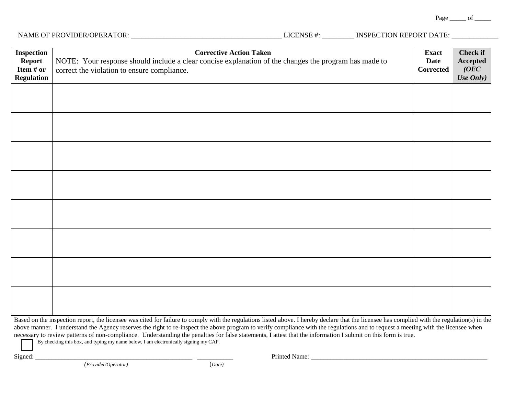Page  $\rule{1em}{0.15mm}$  of  $\rule{1em}{0.15mm}$ 

# NAME OF PROVIDER/OPERATOR: \_\_\_\_\_\_\_\_\_\_\_\_\_\_\_\_\_\_\_\_\_\_\_\_\_\_\_\_\_\_\_\_\_\_\_\_\_\_\_\_\_\_ LICENSE #: \_\_\_\_\_\_\_\_\_ INSPECTION REPORT DATE: \_\_\_\_\_\_\_\_\_\_\_\_\_

| <b>Inspection</b><br><b>Report</b><br>Item # or<br><b>Regulation</b> | <b>Corrective Action Taken</b><br>NOTE: Your response should include a clear concise explanation of the changes the program has made to<br>correct the violation to ensure compliance. | <b>Exact</b><br><b>Date</b><br>Corrected | <b>Check if</b><br>Accepted<br>(OEC)<br>Use Only) |
|----------------------------------------------------------------------|----------------------------------------------------------------------------------------------------------------------------------------------------------------------------------------|------------------------------------------|---------------------------------------------------|
|                                                                      |                                                                                                                                                                                        |                                          |                                                   |
|                                                                      |                                                                                                                                                                                        |                                          |                                                   |
|                                                                      |                                                                                                                                                                                        |                                          |                                                   |
|                                                                      |                                                                                                                                                                                        |                                          |                                                   |
|                                                                      |                                                                                                                                                                                        |                                          |                                                   |
|                                                                      |                                                                                                                                                                                        |                                          |                                                   |
|                                                                      |                                                                                                                                                                                        |                                          |                                                   |
|                                                                      |                                                                                                                                                                                        |                                          |                                                   |

Based on the inspection report, the licensee was cited for failure to comply with the regulations listed above. I hereby declare that the licensee has complied with the regulation(s) in the above manner. I understand the Agency reserves the right to re-inspect the above program to verify compliance with the regulations and to request a meeting with the licensee when necessary to review patterns of non-compliance. Understanding the penalties for false statements, I attest that the information I submit on this form is true.

By checking this box, and typing my name below, I am electronically signing my CAP.

Signed: \_\_\_\_\_\_\_\_\_\_\_\_\_\_\_\_\_\_\_\_\_\_\_\_\_\_\_\_\_\_\_\_\_\_\_\_\_\_\_\_\_\_\_\_\_\_\_\_ \_\_\_\_\_\_\_\_\_\_\_ Printed Name: \_\_\_\_\_\_\_\_\_\_\_\_\_\_\_\_\_\_\_\_\_\_\_\_\_\_\_\_\_\_\_\_\_\_\_\_\_\_\_\_\_\_\_\_\_\_\_\_\_\_\_\_\_\_